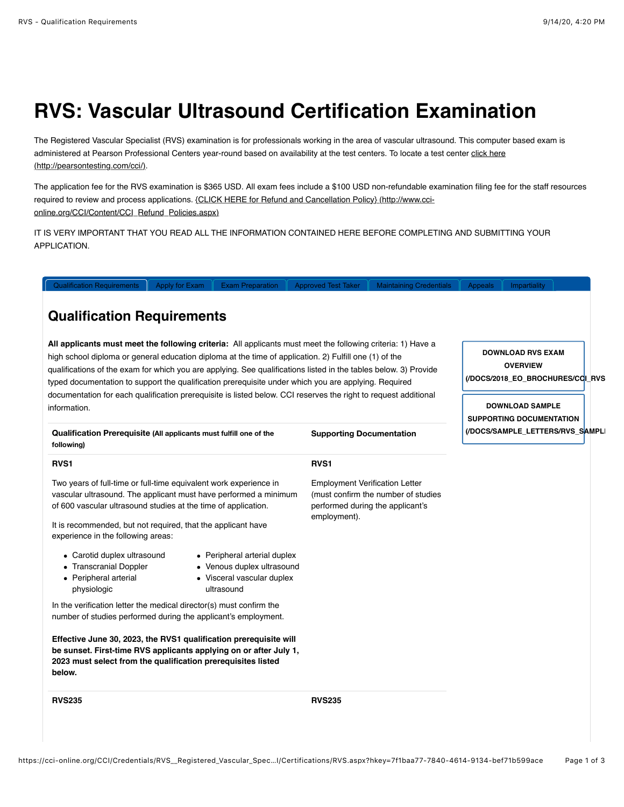# **RVS: Vascular Ultrasound Certification Examination**

The Registered Vascular Specialist (RVS) examination is for professionals working in the area of vascular ultrasound. This computer based exam is [administered at Pearson Professional Centers year-round based on availability at the test centers. To locate a test center click here](http://pearsontesting.com/cci/) (http://pearsontesting.com/cci/).

The application fee for the RVS examination is \$365 USD. All exam fees include a \$100 USD non-refundable examination filing fee for the staff resources [required to review and process applications. {CLICK HERE for Refund and Cancellation Policy} \(http://www.cci](http://www.cci-online.org/CCI/Content/CCI_Refund_Policies.aspx)online.org/CCI/Content/CCI\_Refund\_Policies.aspx)

IT IS VERY IMPORTANT THAT YOU READ ALL THE INFORMATION CONTAINED HERE BEFORE COMPLETING AND SUBMITTING YOUR APPLICATION.

[Qualification Requirements](https://cci-online.org/CCI/Credentials/RVS__Registered_Vascular_Specialist/CCI/Certifications/RVS.aspx?hkey=7f1baa77-7840-4614-9134-bef71b599ace#) | [Apply for Exam](https://cci-online.org/CCI/Credentials/RVS__Registered_Vascular_Specialist/CCI/Certifications/RVS.aspx?hkey=7f1baa77-7840-4614-9134-bef71b599ace#) | [Exam Preparation](https://cci-online.org/CCI/Credentials/RVS__Registered_Vascular_Specialist/CCI/Certifications/RVS.aspx?hkey=7f1baa77-7840-4614-9134-bef71b599ace#) || [Approved Test Taker](https://cci-online.org/CCI/Credentials/RVS__Registered_Vascular_Specialist/CCI/Certifications/RVS.aspx?hkey=7f1baa77-7840-4614-9134-bef71b599ace#) || [Maintaining Credentials](https://cci-online.org/CCI/Credentials/RVS__Registered_Vascular_Specialist/CCI/Certifications/RVS.aspx?hkey=7f1baa77-7840-4614-9134-bef71b599ace#) || [Appeals](https://cci-online.org/CCI/Credentials/RVS__Registered_Vascular_Specialist/CCI/Certifications/RVS.aspx?hkey=7f1baa77-7840-4614-9134-bef71b599ace#) || [Impartiality](https://cci-online.org/CCI/Credentials/RVS__Registered_Vascular_Specialist/CCI/Certifications/RVS.aspx?hkey=7f1baa77-7840-4614-9134-bef71b599ace#)

## **Qualification Requirements**

**All applicants must meet the following criteria:** All applicants must meet the following criteria: 1) Have a high school diploma or general education diploma at the time of application. 2) Fulfill one (1) of the qualifications of the exam for which you are applying. See qualifications listed in the tables below. 3) Provide typed documentation to support the qualification prerequisite under which you are applying. Required documentation for each qualification prerequisite is listed below. CCI reserves the right to request additional information.

**DOWNLOAD RVS EXAM OVERVIEW [\(/DOCS/2018\\_EO\\_BROCHURES/CCI\\_RVS](https://cci-online.org/docs/2018_EO_Brochures/CCI_RVS_Exam_Overview_092018.pdf)\_EXAM\_OVERVIEW\_092018.PDF)**

**DOWNLOAD SAMPLE SUPPORTING DOCUMENTATION [\(/DOCS/SAMPLE\\_LETTERS/RVS\\_SAMPLE](https://cci-online.org/docs/Sample_Letters/RVS_sample_letter.pdf)\_LETTER.PDF)**

**Qualification Prerequisite (All applicants must fulfill one of the following) Supporting Documentation RVS1 RVS1**

Two years of full-time or full-time equivalent work experience in vascular ultrasound. The applicant must have performed a minimum of 600 vascular ultrasound studies at the time of application.

It is recommended, but not required, that the applicant have experience in the following areas:

- Carotid duplex ultrasound
- Peripheral arterial duplex Venous duplex ultrasound
- Transcranial Doppler Peripheral arterial

physiologic

Visceral vascular duplex ultrasound

In the verification letter the medical director(s) must confirm the number of studies performed during the applicant's employment.

**Effective June 30, 2023, the RVS1 qualification prerequisite will be sunset. First-time RVS applicants applying on or after July 1, 2023 must select from the qualification prerequisites listed below.**

**RVS235 RVS235**

Employment Verification Letter (must confirm the number of studies performed during the applicant's

employment).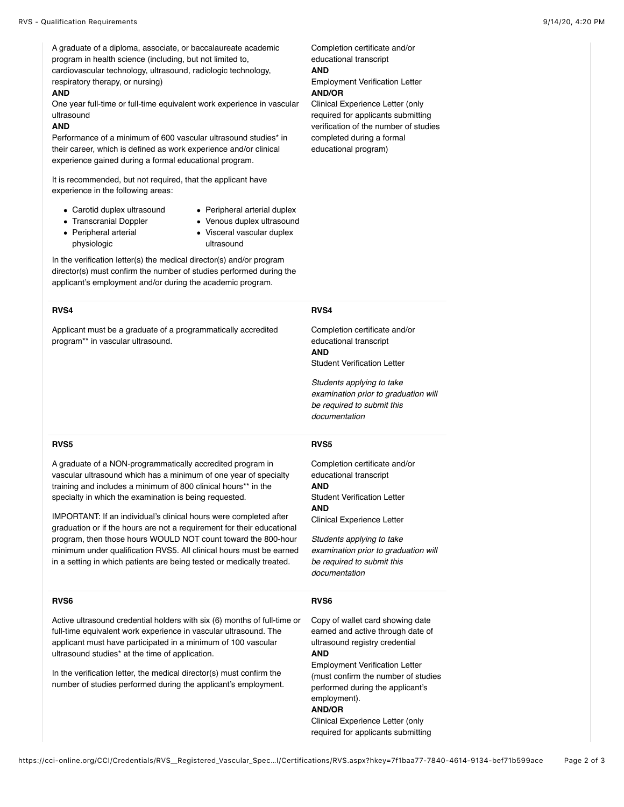A graduate of a diploma, associate, or baccalaureate academic program in health science (including, but not limited to, cardiovascular technology, ultrasound, radiologic technology, respiratory therapy, or nursing)

#### **AND**

One year full-time or full-time equivalent work experience in vascular ultrasound

#### **AND**

Performance of a minimum of 600 vascular ultrasound studies\* in their career, which is defined as work experience and/or clinical experience gained during a formal educational program.

It is recommended, but not required, that the applicant have experience in the following areas:

- Carotid duplex ultrasound
- Peripheral arterial duplex
- Transcranial Doppler
- Venous duplex ultrasound
- Peripheral arterial physiologic
- Visceral vascular duplex ultrasound

In the verification letter(s) the medical director(s) and/or program director(s) must confirm the number of studies performed during the applicant's employment and/or during the academic program.

#### **RVS4**

Applicant must be a graduate of a programmatically accredited program\*\* in vascular ultrasound.

Completion certificate and/or educational transcript **AND**

Employment Verification Letter **AND/OR**

Clinical Experience Letter (only required for applicants submitting verification of the number of studies completed during a formal educational program)

#### **RVS4**

Completion certificate and/or educational transcript **AND** Student Verification Letter

*Students applying to take examination prior to graduation will be required to submit this documentation*

#### **RVS5**

A graduate of a NON-programmatically accredited program in vascular ultrasound which has a minimum of one year of specialty training and includes a minimum of 800 clinical hours\*\* in the specialty in which the examination is being requested.

IMPORTANT: If an individual's clinical hours were completed after graduation or if the hours are not a requirement for their educational program, then those hours WOULD NOT count toward the 800-hour minimum under qualification RVS5. All clinical hours must be earned in a setting in which patients are being tested or medically treated.

#### **RVS6**

Active ultrasound credential holders with six (6) months of full-time or full-time equivalent work experience in vascular ultrasound. The applicant must have participated in a minimum of 100 vascular ultrasound studies\* at the time of application.

In the verification letter, the medical director(s) must confirm the number of studies performed during the applicant's employment.

#### **RVS5**

Completion certificate and/or educational transcript **AND** Student Verification Letter **AND** Clinical Experience Letter

*Students applying to take examination prior to graduation will be required to submit this documentation*

#### **RVS6**

Copy of wallet card showing date earned and active through date of ultrasound registry credential **AND**

Employment Verification Letter (must confirm the number of studies performed during the applicant's employment). **AND/OR**

Clinical Experience Letter (only required for applicants submitting